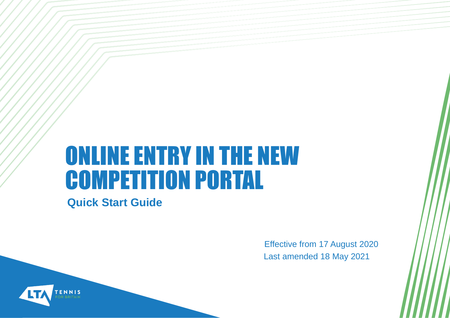# ONLINE ENTRY IN THE NEW COMPETITION PORTAL

**Quick Start Guide**

Effective from 17 August 2020 Last amended 18 May 2021

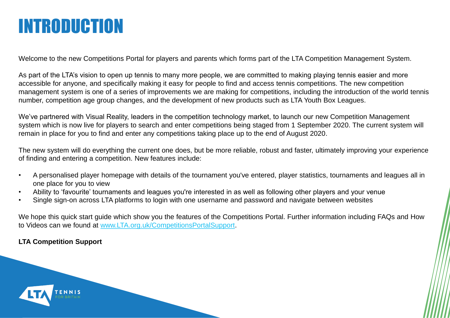#### INTRODUCTION

Welcome to the new Competitions Portal for players and parents which forms part of the LTA Competition Management System.

As part of the LTA's vision to open up tennis to many more people, we are committed to making playing tennis easier and more accessible for anyone, and specifically making it easy for people to find and access tennis competitions. The new competition management system is one of a series of improvements we are making for competitions, including the introduction of the world tennis number, competition age group changes, and the development of new products such as LTA Youth Box Leagues.

We've partnered with Visual Reality, leaders in the competition technology market, to launch our new Competition Management system which is now live for players to search and enter competitions being staged from 1 September 2020. The current system will remain in place for you to find and enter any competitions taking place up to the end of August 2020.

The new system will do everything the current one does, but be more reliable, robust and faster, ultimately improving your experience of finding and entering a competition. New features include:

- A personalised player homepage with details of the tournament you've entered, player statistics, tournaments and leagues all in one place for you to view
- Ability to 'favourite' tournaments and leagues you're interested in as well as following other players and your venue
- Single sign-on across LTA platforms to login with one username and password and navigate between websites

We hope this quick start guide which show you the features of the Competitions Portal. Further information including FAQs and How to Videos can we found at [www.LTA.org.uk/CompetitionsPortalSupport.](http://www.lta.org.uk/CompetitionsPortalSupport)

#### **LTA Competition Support**

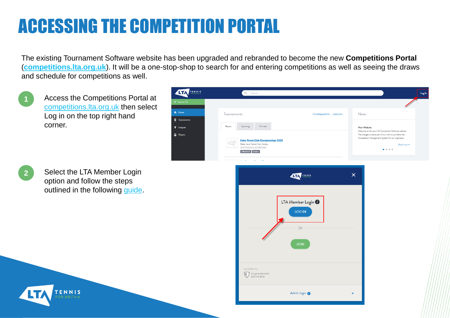## ACCESSING THE COMPETITION PORTAL

The existing Tournament Software website has been upgraded and rebranded to become the new **Competitions Portal** (**[competitions.lta.org.uk](https://competitions.lta.org.uk/)**). It will be a one-stop-shop to search for and entering competitions as well as seeing the draws and schedule for competitions as well.

Access the Competitions Portal at [competitions.lta.org.uk](https://competitions.lta.org.uk/) then select Log in on the top right hand corner.





**1**

Select the LTA Member Login option and follow the steps outlined in the following [guide](https://www.lta.org.uk/globalassets/officiate--volunteer/documents/cms-support/qsg-sso-claiming-your-account.pdf).





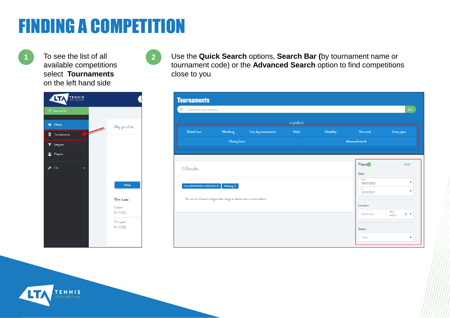## FINDING A COMPETITION

To see the list of all **1 2**available competitions select **Tournaments** on the left hand side

| <b>ATA</b><br><b>TENNIS</b> |                     |
|-----------------------------|---------------------|
| Q,<br><b>Back to LTA</b>    |                     |
| Home<br>A                   | My profile          |
| 8<br>Tournaments            |                     |
| Leagues<br>7                |                     |
| 滲<br>Players                |                     |
| LTA                         |                     |
|                             | <b>TOTAL</b>        |
|                             | Win-Loss            |
|                             | Career<br>0/0(0)    |
|                             | This year<br>0/0(0) |
|                             |                     |



Use the **Quick Search** options, **Search Bar (**by tournament name or tournament code) or the **Advanced Search** option to find competitions close to you**.**

|                                 |                                                                      |                    | or auickly to |                   |                              |                                        |
|---------------------------------|----------------------------------------------------------------------|--------------------|---------------|-------------------|------------------------------|----------------------------------------|
| <b>British Tour</b>             | Weeklong                                                             | One day tournament | Padel         | <b>Disability</b> | This week                    | Entry open                             |
|                                 | <b>Closing Soon</b>                                                  |                    |               |                   | Advanced search              |                                        |
|                                 |                                                                      |                    |               |                   |                              |                                        |
| 0 Results                       |                                                                      |                    |               |                   | Filters <sup>2</sup><br>Date | RESET                                  |
| From 08/07/2020 to 22/07/2021 X | Weeklong $\times$                                                    |                    |               |                   | From<br>08/07/2020<br>to     | $\blacktriangledown$<br>$\checkmark$   |
|                                 | No results Choose a larger date range or delete one or more filters. |                    |               |                   | 22/07/2021                   |                                        |
|                                 |                                                                      |                    |               |                   | Location<br>Postal code      | radius<br>$\times$ $\star$<br>$+10$ mi |
|                                 |                                                                      |                    |               |                   |                              |                                        |

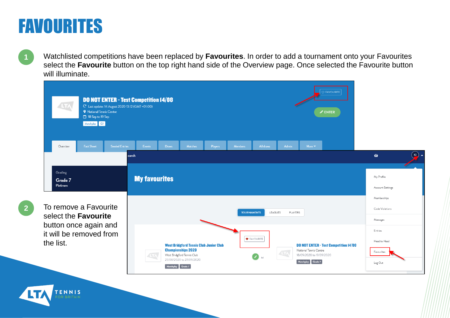#### FAVOURITES

ENNIS

**1** Watchlisted competitions have been replaced by **Favourites**. In order to add a tournament onto your Favourites select the **Favourite** button on the top right hand side of the Overview page. Once selected the Favourite button will illuminate.

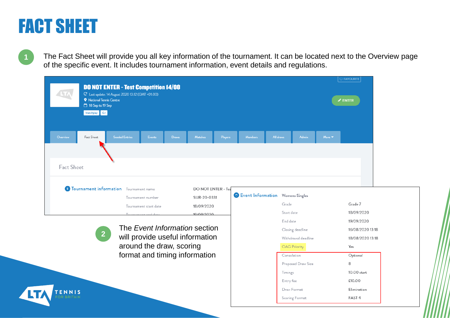#### FACT SHEET

**1**

The Fact Sheet will provide you all key information of the tournament. It can be located next to the Overview page of the specific event. It includes tournament information, event details and regulations.

| <b>DO NOT ENTER - Test Competition 14/08</b>                                        |                                    |                                  |                           | C FAVOURITE         |
|-------------------------------------------------------------------------------------|------------------------------------|----------------------------------|---------------------------|---------------------|
| C Last update: 14 August 2020 13:12 (GMT +01:00)<br><b>9</b> National Tennis Centre |                                    |                                  |                           | $\mathscr{P}$ ENTER |
| 18 Sep to 19 Sep<br>Matchplay G7                                                    |                                    |                                  |                           |                     |
|                                                                                     |                                    |                                  |                           |                     |
| <b>Seeded Entries</b><br>Fact Sheet<br>Overview<br>Events                           | Matches<br><b>Draws</b><br>Players | Members                          | All draws<br><b>Admin</b> | More <b>v</b>       |
|                                                                                     |                                    |                                  |                           |                     |
|                                                                                     |                                    |                                  |                           |                     |
| Fact Sheet                                                                          |                                    |                                  |                           |                     |
|                                                                                     |                                    |                                  |                           |                     |
| <sup>8</sup> Tournament information Tournament name                                 | <b>DO NOT ENTER - Tes</b>          |                                  |                           |                     |
| Tournament number                                                                   | SUR-20-0331                        | Event Information Womens Singles |                           |                     |
| Tournament start date                                                               | 18/09/2020                         |                                  | Grade                     | Grade 7             |
|                                                                                     | 10/00/2020                         |                                  | Start date                | 18/09/2020          |
|                                                                                     |                                    |                                  | End date                  | 19/09/2020          |
| The Event Information section                                                       |                                    |                                  | Closing deadline          | 16/08/2020 13:18    |
| 2 <sub>1</sub><br>will provide useful information                                   |                                    |                                  | Withdrawal deadline       | 18/08/2020 13:18    |
| around the draw, scoring                                                            |                                    |                                  | <b>OAG Priority</b>       | Yes                 |
| format and timing information                                                       |                                    |                                  | Consolation               | Optional            |
|                                                                                     |                                    |                                  | Proposed Draw Size        | 8                   |
|                                                                                     |                                    |                                  | Timings                   | $10:00$ start       |
|                                                                                     |                                    |                                  | Entry fee                 | £10.00              |
|                                                                                     |                                    |                                  | Draw Format               | Flimination         |

Scoring Format

FAST<sub>4</sub>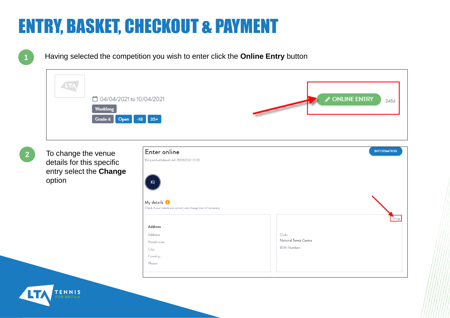**1**

Having selected the competition you wish to enter click the **Online Entry** button

| LTĄ                              |                      |
|----------------------------------|----------------------|
| □ 04/04/2021 to 10/04/2021       | ONLINE ENTRY<br>245d |
| Weeklong<br>Grade 4 Open -18 35+ |                      |
|                                  |                      |

**2**

To change the venue details for this specific entry select the **Change** option

ENNIS

| Enter online                                                                               | <b>INFORMATION</b> |
|--------------------------------------------------------------------------------------------|--------------------|
| Entry and withdrawal until 25/03/2021 10:00                                                |                    |
| K1                                                                                         |                    |
|                                                                                            |                    |
| $My$ details $\bullet$<br>Check if your details are correct, and change them if necessary. |                    |
| Address                                                                                    |                    |
| Address:                                                                                   |                    |
| Postal code:                                                                               |                    |
| City:                                                                                      |                    |
| Country:                                                                                   |                    |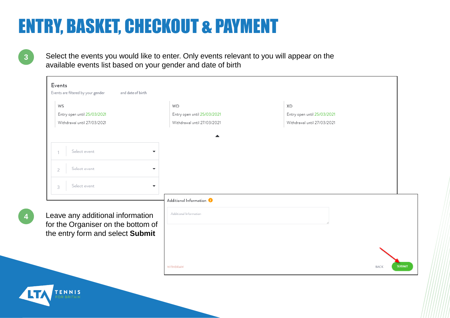Select the events you would like to enter. Only events relevant to you will appear on the available events list based on your gender and date of birth

| WS                                                                                                         | <b>WD</b>                           | XD                          |  |
|------------------------------------------------------------------------------------------------------------|-------------------------------------|-----------------------------|--|
| Entry open until 25/03/2021                                                                                | Entry open until 25/03/2021         | Entry open until 25/03/2021 |  |
| Withdrawal until 27/03/2021                                                                                | Withdrawal until 27/03/2021         | Withdrawal until 27/03/2021 |  |
| Select event<br>$\blacktriangledown$                                                                       |                                     |                             |  |
| Select event<br>$\blacktriangledown$<br>$\overline{2}$                                                     |                                     |                             |  |
| Select event<br>$\blacktriangledown$<br>3                                                                  |                                     |                             |  |
|                                                                                                            | Additional Information <sup>0</sup> |                             |  |
| Leave any additional information<br>for the Organiser on the bottom of<br>the entry form and select Submit | Additional Information              |                             |  |
|                                                                                                            |                                     |                             |  |
|                                                                                                            |                                     |                             |  |

**3**

**4**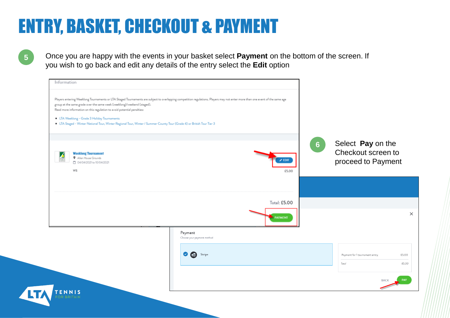**5**

Once you are happy with the events in your basket select **Payment** on the bottom of the screen. If you wish to go back and edit any details of the entry select the **Edit** option

| group at the same grade over the same week (weeklong)/weekend (staged).<br>Read more information on this regulation to avoid potential penalties:<br><b>LTA Weeklong - Grade 3 Holiday Tournaments</b> |                                       |                        |                                                           |
|--------------------------------------------------------------------------------------------------------------------------------------------------------------------------------------------------------|---------------------------------------|------------------------|-----------------------------------------------------------|
| <b>E.</b> LTA Staged - Winter National Tour, Winter Regional Tour, Winter / Summer County Tour (Grade 4) or British Tour Tier 3<br><b>Weeklong Tournament</b><br>Allen House Grounds                   |                                       |                        | Select Pay on the<br>6 <sup>°</sup><br>Checkout screen to |
| □ 04/04/2021 to 10/04/2021<br>WS                                                                                                                                                                       |                                       | $\angle$ EDIT<br>£5,00 | proceed to Payment                                        |
|                                                                                                                                                                                                        |                                       | Total: £5.00           |                                                           |
|                                                                                                                                                                                                        |                                       | <b>PAYMENT</b>         |                                                           |
|                                                                                                                                                                                                        | Payment<br>Choose your payment method |                        |                                                           |
|                                                                                                                                                                                                        | $\bullet$<br>Stripe                   |                        | Payment for 1 tournament entry.<br>Total                  |
|                                                                                                                                                                                                        |                                       |                        | BACK                                                      |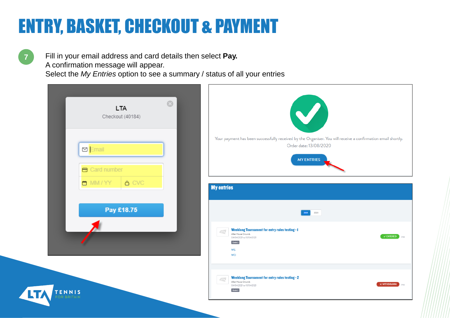**7** Fill in your email address and card details then select **Pay.**  A confirmation message will appear. Select the *My Entries* option to see a summary / status of all your entries

| $\odot$<br><b>LTA</b><br>Checkout (40184)            | $\blacktriangledown$                                                                                                                                                                    |
|------------------------------------------------------|-----------------------------------------------------------------------------------------------------------------------------------------------------------------------------------------|
| <b>D</b> Email<br><b>B</b> Card number               | Your payment has been successfully received by the Organiser. You will receive a confirmation email shortly.<br>Order date: 13/08/2020<br><b>MY ENTRIES</b>                             |
| <b>A</b> CVC<br>$\blacksquare$ MM / YY<br>Pay £18.75 | <b>My entries</b><br>2020                                                                                                                                                               |
|                                                      | <b>Weeklong Tournament for entry rules testing - I</b><br>47 <sub>1</sub><br>Allen House Grounds<br>$\checkmark$ ENTERED 2184<br>04/04/2021 to 10/04/2021<br>Grade 3<br>WS<br><b>WD</b> |
| TENNIS                                               | <b>Weeklong Tournament for entry rules testing - 2</b><br>$\sqrt{\text{LTV}}$<br>Allen House Grounds<br>$\times$ WITHDRAWN $\Big)$ 218d<br>04/04/2021 to 10/04/2021<br>Grade 3          |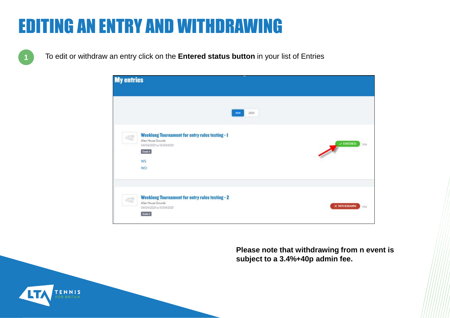#### EDITING AN ENTRY AND WITHDRAWING

**1** To edit or withdraw an entry click on the **Entered status button** in your list of Entries



**Please note that withdrawing from n event is subject to a 3.4%+40p admin fee.**

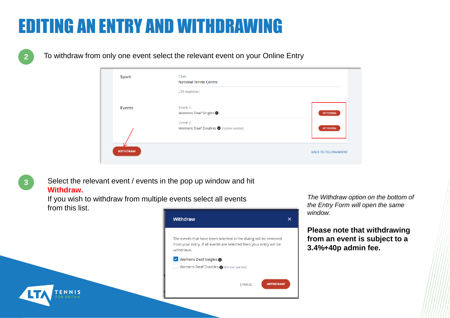#### EDITING AN ENTRY AND WITHDRAWING

**2** To withdraw from only one event select the relevant event on your Online Entry

| <b>Sport</b>    | Club:<br><b>National Tennis Centre</b>              |                           |
|-----------------|-----------------------------------------------------|---------------------------|
|                 | <b>LTA Number:</b>                                  |                           |
| <b>Events</b>   | Event 1:<br>Womens Deaf Singles <sup>1</sup>        | <b>WITHDRAW</b>           |
|                 | Event 2:<br>Womens Deaf Doubles (D (Partner wanted) | <b>WITHDRAW</b>           |
|                 |                                                     |                           |
| <b>WITHDRAW</b> |                                                     | <b>BACK TO TOURNAMENT</b> |

**3**

ENNIS

Select the relevant event / events in the pop up window and hit **Withdraw.**

If you wish to withdraw from multiple events select all events from this list.



#### V Womens Deaf Singles Womens Deaf Doubles @ (Partner wanted)

**WITHDRAW** 

CANCEL

*The Withdraw option on the bottom of the Entry Form will open the same window.*

**Please note that withdrawing from an event is subject to a 3.4%+40p admin fee.**